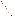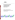# **Environmental Technology Verification Program**  Advanced Monitoring Systems Center

Generic Verification Protocol for Portable Technologies for Detecting Cyanide in Water

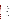### **GENERIC VERIFICATION PROTOCOL**

**for** 

## **PORTABLE TECHNOLOGIES FOR DETECTING CYANIDE IN WATER**

**September 2004** 

**Prepared by** 

**Battelle 505 King Avenue Columbus, OH 43201-2693**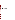#### **FOREWORD**

This generic verification protocol is based upon a peer-reviewed test/quality assurance (QA) plan entitled "Test/QA Plan for Verification of Portable Technologies for Detection of Cyanide in Water (dated January 8, 2003)." The test/QA plan was developed with vendor and stakeholder input by the ETV Advanced Monitoring Systems Center. Peer reviewers for the test/QA plan were Billy Potter, U.S. EPA, National Exposure Research Laboratory; Ricardo DeLeon, Metropolitan Water District of Southern California; William Burrows, U.S. Army Center for Environmental Health Research; and Kenneth Wood, DuPont Corporate Environmental Engineering Group. In preparing this generic verification protocol, specific names of individuals involved, vendor and technology names, test dates, and similar details in the test/QA plan were revised to be generic. The experimental design in the protocol is the same as that in the peer-reviewed test/QA plan.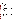# **TABLE OF CONTENTS**

| 3 |  |
|---|--|
|   |  |
|   |  |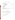# **TABLE OF CONTENTS (CONTINUED)**

| 7.1 Laboratory Standard/Performance Test Sample Preparation  29 |  |
|-----------------------------------------------------------------|--|
|                                                                 |  |
|                                                                 |  |

#### **LIST OF TABLES**

#### **LIST OF FIGURES**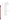# **ACRONYMS**

| AMS         | <b>Advanced Monitoring Systems</b>             |
|-------------|------------------------------------------------|
| <b>ASTM</b> | American Society for Testing and Materials     |
| <b>EPA</b>  | <b>Environmental Protection Agency</b>         |
| <b>ETV</b>  | <b>Environmental Technology Verification</b>   |
| <b>HCl</b>  | hydrogen chloride                              |
| <b>HDPE</b> | high-density polyethylene                      |
| ID          | identification                                 |
| <b>ISE</b>  | ion selective electrode                        |
| KI          | potassium iodide                               |
| L           | liter                                          |
| <b>LFM</b>  | laboratory fortified matrix                    |
| <b>MDL</b>  | method detection limit                         |
| mg          | milligram                                      |
| <b>NaOH</b> | sodium hydroxide                               |
| <b>NIST</b> | National Institute of Standards and Technology |
| PE          | performance evaluation                         |
| PT          | performance test                               |
| QA          | quality assurance                              |
| QC          | quality control                                |
| <b>QCS</b>  | quality control standard                       |
| QMP         | <b>Quality Management Plan</b>                 |
| <b>RB</b>   | reagent blank                                  |
| <b>TSA</b>  | technical systems audit                        |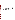#### **1 INTRODUCTION**

#### **1.1 Test Description**

This protocol provides generic procedures for conducting a verification test of portable technologies for detecting cyanide in water. Verification tests are conducted under the auspices of the U.S. Environmental Protection Agency (EPA) through the Environmental Technology Verification (ETV) program. The purpose of ETV is to provide objective and quality-assured performance data on environmental technologies, so that users, developers, regulators, and consultants can make informed decisions about purchasing and applying these technologies.

Verification tests are performed by Battelle, of Columbus, Ohio, which is managing the ETV Advanced Monitoring Systems (AMS) Center through a cooperative agreement with EPA. The scope of the AMS Center covers verification of monitoring technologies for contaminants and natural species in air, water, and soil. In performing verification tests, Battelle follows the procedures specified in this protocol and will comply with the data quality requirements in the "Quality Management Plan (QMP) for the ETV Advanced Monitoring Systems Center."1

#### **1.2 Test Objective**

The objective of the verification test described in this protocol is to quantify the analytical and operational performance characteristics of portable technologies for detecting cyanide in water under a specific set of test conditions. The portable technologies shall be tested to assess their ability to measure cyanide in a variety of quality control (QC), performance evaluation (PE), drinking, and surface water samples. The cyanide technologies may be test kits that record a color change in the presence of cyanide or ion selective electrodes (ISEs).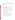#### **1.3 Roles and Responsibilities**

Verification tests are performed by Battelle with the participation of the vendors whose technologies are being verified. The organization chart in Figure 1 shows the responsibilities of individuals from Battelle, the vendor companies, and the EPA. These responsibilities are detailed in the following paragraphs.

#### **1.3.1 Battelle**

The AMS Center's Verification Test Coordinator has overall responsibility for ensuring that the technical, schedule, and cost goals established for the verification test are met. More specifically, the Verification Test Coordinator will:

- Assemble a team of qualified technical staff to conduct the verification test
- Direct the team in performing the verification test in accordance with this protocol
- Ensure that all procedures specified in this protocol and the QMP are followed
- Prepare and revise the draft verification reports and verification statements in response to reviewers' comments
- Respond to any issues raised in assessment reports and audits, including instituting corrective action as necessary
- Coordinate distribution of the verification reports and statements
- Serve as the primary point of contact for vendor representatives
- Ensure that confidentiality of vendor information is maintained.

The Verification Testing Leader for the AMS Center provides technical guidance and oversees the various stages of verification testing. The Verification Testing Leader will:

• Support the Verification Test Coordinator in organizing the test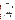

**Figure 1. Organization Chart for the Verification Test**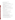• Review the draft verification reports and statements.

The Battelle AMS Center Manager will:

- Review the draft verification reports and verification statements
- Ensure that necessary Battelle resources, including staff and facilities, are committed to the verification test
- Ensure that vendor confidentiality is maintained
- Support the Verification Test Coordinator in responding to any issues raised in assessment reports and audits
- Maintain communication with EPA's technical and quality managers
- Facilitate a stop work order if Battelle or EPA quality assurance (QA) staff discovers adverse findings.

Technical and temporary staff will test the technologies. Their responsibilities include:

- Assisting in the collection of samples
- Analyze samples for the verification test as described in this protocol.

The Battelle Quality Manager will:

- Conduct a quality review of reference laboratory documentation
- Conduct a technical systems audit (TSA) once during the verification test
- Audit at least 10% of the verification data
- Prepare and distribute an assessment report for each audit
- Verify implementation of any necessary corrective action
- Notify Battelle's AMS Center Manager about the need for a stop work order if self audits indicate that data quality is being compromised
- Provide a summary of the QA/QC activities and results for the verification reports
- Review the draft and final verification reports and statements
- Have overall responsibility for ensuring that this protocol is followed.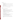#### **1.3.2 Vendors**

Vendor representatives will:

- Provide two off-the-shelf models of the technology to be verified for the duration of the verification test
- As desired, familiarize Battelle personnel on the operation and maintenance of the technology prior to testing
- If desired, provide a representative to operate the technologies during the verification test
- Review their respective draft verification report and statement.

#### **1.3.3 EPA**

EPA's AMS Center Quality Manager will:

- Direct the performance, at the EPA's discretion, of external TSAs during the verification test
- Notify the EPA AMS Center Manager of the need for a stop work order if the external audit indicates that data quality is being compromised
- Prepare and distribute an assessment report summarizing results of the external audit, if one is performed
- Review the draft verification reports and statements.

EPA's AMS Center Manager will:

- Notify the Battelle AMS Center Manager of the need for a stop work order if the external audit indicates that data quality is being compromised
- Review the draft verification reports and statements
- Oversee the EPA review process of the verification reports and statements
- Coordinate the submission of verification reports and statements for final EPA approval.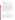#### **1.3.4 Reference Laboratory**

Analytical laboratories at Battelle, a subcontractor, and/or a partnering organization will serve as a reference laboratory to:

- Perform reference analyses of all test and QA samples of unknown concentrations
- Submit the results of the reference analyses in an agreed-upon format to the Verification Test Coordinator.

To be selected to perform the reference analyses during the verification test, a commercial laboratory or a partnering organization will demonstrate its competence to perform the needed cyanide analysis by providing Battelle with copies of its method/standard operating procedure, QA manual, state government certifications/approvals for cyanide analysis, and staff training records, where available. The Battelle Quality Manager will review these documents. Additionally, Battelle will prepare and blindly submit several samples of potassium cyanide to the laboratory as a proficiency test. Battelle will prepare these samples at concentrations unknown to the prospective laboratory. The laboratory's reported concentrations of the submitted QC standards will need to be within 25% of their known concentrations. If the prospective laboratory does not comply fully with each of the above requirements, another laboratory will be selected and its competence verified in a similar manner.

#### **2 VERIFICATION APPROACH**

#### **2.1 Introduction**

Cyanide is present in various forms in water. Verification tests will focus on detecting the free cyanide ion  $(CN^-)$ , which in this document is referred to as "cyanide." At high doses, this form of cyanide inhibits cellular respiration and, in some cases, can result in death. In drinking and surface water under ambient conditions, cyanide evolves from aqueous hydrogen cyanide, sodium cyanide, potassium cyanide, and other ionic complexes where cyanide is released easily when dissolved in water. Because of the toxicity of cyanide to humans, the EPA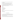has set 0.2 milligrams per liter (mg/L) as the maximum concentration of cyanide that can be present in drinking water.

EPA Method 335.1, "Cyanides Amenable to Chlorination,"2 shall be used as the reference method to verify the portable cyanide technologies. This method measures the concentration of the cyanide ion in water samples under ambient conditions.

Portable cyanide technologies (colorimetric test kits or ISEs) shall analyze prepared, surface, and drinking water samples. The results shall be compared to those from the reference method, and the technologies shall be evaluated in terms of

- **Accuracy**
- **Precision**
- **Linearity**
- Method detection limit
- Operator bias (test kits only)
- Inter-unit reproducibility
- Matrix interferences
- Portability
- Response of analyzer at cyanide concentrations dangerous to human health (lethal/near lethal dose)
- Sample throughput
- Ease of use and reliability.

#### **2.2 Experimental Design**

The verification test shall involve challenging the technologies with a variety of test samples, including sets of drinking and surface water samples representative of those likely to be analyzed using these technologies. All samples shall be analyzed by the technologies being verified and by a standard reference method.

The results from the technologies shall be compared to those from the reference method to quantitatively assess accuracy, linearity, and detection limit. Multiple aliquots of each test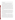sample shall be analyzed separately to assess precision of both the technologies being verified and the reference method.

Technologies designed for use by nontechnical operators (colorimetric test kits only) shall be tested independently by two separate operators (technical and nontechnical) to determine operator bias on analyzer performance. The vendor shall have the option of providing a representative or of familiarizing Battelle staff to serve as the technical operator. The nontechnical staff operator shall have little prior knowledge of the analyzer being verified and little or no previous laboratory experience. Both operators shall analyze all of the test samples. Each operator shall manipulate the water samples and reagents to generate a solution that can be probed photometrically. Then, each operator shall analyze that solution using both units of a given vendor's analyzer. More than one technical and/or nontechnical operator may be used by Battelle. The operators shall be uniquely identified in the verification report so it is clear which operator produced what data. The performance of two units of each portable cyanide technology shall be verified. Results for the two units shall be reported and compared to assess unit-to-unit reproducibility.

Matrix interferences shall be assessed by separately evaluating accuracy, precision, and linearity on distinctly different sample matrices, such as samples prepared in pure water with varying cyanide concentrations and drinking and surface water samples both spiked with cyanide and left unspiked. Sample throughput shall be estimated based on the time required to analyze a sample set. Performance parameters, such as ease of use and reliability, shall be based on documented observations of the operators and Verification Test Coordinator. Each analyzer shall be used in a field environment, as well as in a laboratory setting, to assess the impact of field conditions on performance.

Because cyanide is particularly toxic, ETV stakeholders and other end users of these technologies are interested in their response when the cyanide is present in drinking water at lethal and near-lethal concentrations (>50 mg/L). To address the toxicity of cyanide at lethal and near-lethal concentrations (>50 mg/L), three test samples, prepared in American Society for Testing and Materials (ASTM) Type II water, at concentrations of 50, 100, and 250 mg/L shall be analyzed. While typically the technologies are not designed to quantitatively measure these extreme concentrations, the operators and Verification Test Coordinator shall make qualitative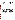observations of their operation while analyzing such samples. Observations of unusual operational characteristics (rate of color change, unusually intense color, unique digital readout, etc.) shall be documented and reported so the end user can be made aware of what analyzer performance characteristics may serve as indicators of lethal or near-lethal concentrations.

The results from each technology shall be reported individually. No direct comparison shall be made between technologies, but each technology shall undergo identical testing so it is convenient for end users to evaluate the ETV testing results.

#### **2.3 Test Samples**

Test samples used in the verification test shall include QC samples, performance test (PT) samples, drinking water, and surface water samples. Table 1 shows the number and type of samples to be analyzed for colorimetric test kits and Table 2 shows the number and type of samples to be analyzed for ISEs. The QC and PT samples will be prepared from purchased standards. The QC sample concentrations will be targeted to the EPA maximum contaminant level in drinking water, which, for cyanide, is 0.2 mg/L. The PT samples will cover the range from 0.03 mg/L to 0.8 mg/L for the colorimetric test kits. The ISEs will be tested with PT samples ranging from 0.03 mg/L to 25 mg/L. The performance of the colorimetric test kits and ISEs also will be evaluated with three samples at concentrations that could be lethal if a volume the size of a typical glass of water was ingested. To evaluate the field portability of the technologies, some of the drinking water samples will be analyzed in a field setting. Other drinking and surface water samples will be shipped to Battelle and analyzed blindly in a laboratory setting. All the samples will be analyzed by both units of each analyzer undergoing testing and by a standard reference method.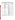| <b>Type of Sample</b>             | <b>Sample Characteristics</b>                      | Concentration         | <b>No. of Samples</b>                |
|-----------------------------------|----------------------------------------------------|-----------------------|--------------------------------------|
|                                   | Reagent blank (RB)                                 | $\sim 0$              | 10% of all                           |
| <b>Quality Control</b>            | Laboratory fortified matrix<br>(LFM)               | $0.200$ mg/L          | 4 per water source<br>(listed below) |
|                                   | Quality control standard (QCS)                     | $0.200$ mg/L          | 10% of all                           |
|                                   | For the determination of method<br>detection limit | $0.100$ mg/ $L^{(a)}$ | $\overline{7}$                       |
| Performance Test                  | Cyanide spike                                      | $0.030$ mg/L          | $\overline{4}$                       |
|                                   | Cyanide spike                                      | $0.100$ mg/L          | $\overline{4}$                       |
|                                   | Cyanide spike                                      | $0.200$ mg/L          | $\overline{4}$                       |
|                                   | Cyanide spike                                      | $0.400$ mg/L          | $\overline{4}$                       |
|                                   | Cyanide spike                                      | $0.800$ mg/L          | $\overline{4}$                       |
|                                   | Cyanide spike                                      | $50.0$ mg/L           | $\overline{4}$                       |
| Lethal /<br>Near-Lethal           | Cyanide spike                                      | $100$ mg/L            | $\overline{4}$                       |
|                                   | Cyanide spike                                      | $250$ mg/L            | 4                                    |
|                                   | Reservoir source                                   | Background            | 4 <sup>(a)</sup>                     |
| <b>Surface Water</b>              |                                                    | $0.200$ mg/L LFM      | $\overline{4}$                       |
|                                   | River source                                       | Background            | 4 <sup>(a)</sup>                     |
|                                   |                                                    | $0.200$ mg/L LFM      | 4                                    |
|                                   | Northwestern U.S.                                  | Background            | $1^{(a)}$                            |
|                                   |                                                    | $0.200$ mg/L LFM      | $\overline{4}$                       |
|                                   | Southwestern U.S.                                  | Background            | 1 <sup>(a)</sup>                     |
|                                   |                                                    | $0.200$ mg/L LFM      | $\overline{4}$                       |
| Drinking Water<br>from Around the | Midwestern U.S.                                    | Background            | 1 <sup>(a)</sup>                     |
| U.S.                              |                                                    | $0.200$ mg/L LFM      | $\overline{4}$                       |
|                                   | Southeastern U.S.                                  | Background            | 1 <sup>(a)</sup>                     |
|                                   |                                                    | $0.200$ mg/L LFM      | $\overline{4}$                       |
|                                   | Northeastern U.S.                                  | Background            | 1 <sup>(a)</sup>                     |
|                                   |                                                    | $0.200$ mg/L LFM      | $\overline{4}$                       |
|                                   | Residence with city water                          | Background            | 6                                    |
| Residential                       |                                                    | $0.200$ mg/L LFM      | 12                                   |
| Drinking Water                    | Residence with well water                          | Background            | 6                                    |
|                                   |                                                    | $0.200$ mg/L LFM      | 12                                   |

**Table 1. Summary of Colorimetric Test Kit Verification Test Samples** 

(a) Additional analysis may be required (see Section 2.3.3).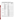| <b>Type of Sample</b>             | <b>Sample Characteristics</b>                      | Concentration    | <b>No. of Samples</b>                |
|-----------------------------------|----------------------------------------------------|------------------|--------------------------------------|
|                                   | RB                                                 | $\sim 0$         | 10% of all                           |
| <b>Quality Control</b>            | <b>LFM</b>                                         | $0.200$ mg/L     | 4 per water source<br>(listed below) |
|                                   | <b>QCS</b>                                         | $0.200$ mg/L     | 10% of all                           |
|                                   | For the determination of<br>method detection limit | $0.100$ mg/L     | 7                                    |
|                                   | Cyanide spike                                      | $0.030$ mg/L     | $\overline{4}$                       |
|                                   | Cyanide spike                                      | $0.100$ mg/L     | $\overline{4}$                       |
| Performance Test                  | Cyanide spike                                      | $0.200$ mg/L     | $\overline{4}$                       |
|                                   | Cyanide spike                                      | $0.400$ mg/L     | $\overline{4}$                       |
|                                   | Cyanide spike                                      | $0.800$ mg/L     | $\overline{4}$                       |
|                                   | Cyanide spike                                      | $5.00$ mg/L      | $\overline{4}$                       |
|                                   | Cyanide spike                                      | $15.0$ mg/L      | $\overline{4}$                       |
|                                   | Cyanide spike                                      | 25.0 mg/L        | $\overline{4}$                       |
|                                   | Cyanide spike                                      | $50.0$ mg/L      | $\overline{4}$                       |
| Lethal /<br>Near-Lethal           | $\overline{\text{C}}$ yanide spike                 | $100$ mg/L       | $\overline{4}$                       |
|                                   | Cyanide spike                                      | 250 mg/L         | $\overline{4}$                       |
|                                   | Reservoir source                                   | Background       | $4^{(a)}$                            |
| <b>Surface Water</b>              |                                                    | $0.200$ mg/L LFM | $\overline{4}$                       |
|                                   | River source                                       | Background       | 4 <sup>(a)</sup>                     |
|                                   |                                                    | $0.200$ mg/L LFM | $\overline{4}$                       |
|                                   | Northwestern U.S.                                  | Background       | 1 <sup>(a)</sup>                     |
|                                   |                                                    | $0.200$ mg/L LFM | $\overline{4}$                       |
|                                   | Southwestern U.S.                                  | Background       | 1 <sup>(a)</sup>                     |
|                                   |                                                    | $0.200$ mg/L LFM | $\overline{4}$                       |
| Drinking Water<br>from Around the | Midwestern U.S.                                    | Background       | 1 <sup>(a)</sup>                     |
| U.S.                              |                                                    | $0.200$ mg/L LFM | $\overline{4}$                       |
|                                   | Southeastern U.S.                                  | Background       | 1 <sup>(a)</sup>                     |
|                                   |                                                    | $0.200$ mg/L LFM | $\overline{4}$                       |
|                                   | Northeastern U.S.                                  | Background       | 1 <sup>(a)</sup>                     |
|                                   |                                                    | $0.200$ mg/L LFM | $\overline{4}$                       |
| Residential<br>Drinking Water     | Residence with city water                          | Background       | 6                                    |
|                                   |                                                    | $0.200$ mg/L LFM | 12                                   |
|                                   | Residence with well water                          | Background       | 12                                   |
|                                   |                                                    | $0.200$ mg/L LFM | 12                                   |

**Table 2. Summary of Ion Selective Electrode Verification Test Samples** 

(a) Additional analysis may be required (see Section 2.3.3).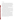#### **2.3.1 QC Samples**

Prepared QC samples will include laboratory reagent blank (RB) samples, laboratory fortified matrix (LFM) samples, and quality control standards (QCS). RB samples will be analyzed to ensure that no sources of contamination are present. If the analysis of an RB sample indicates a concentration above the MDL for the technology being verified, contamination will be suspected. The RB samples will be prepared from ASTM Type II deionized water and be handled and analyzed identically to other prepared samples, including the addition of all reagents. These samples will be used to help ensure that no sources of contamination are introduced in the sample handling and analysis procedures. Any contamination source(s) will be corrected, and proper blank readings will be achieved.

 The LFM samples will be prepared as aliquots of drinking and surface water samples spiked with potassium cyanide to increase the analyte concentration by 0.2 mg/L. In the case of the drinking water samples to be analyzed in the field, the spike solution used to prepare the LFM will be prepared in the laboratory and brought to the field site. For the rest of the samples, the LFM will be prepared similarly, but within a Battelle laboratory, not in a field setting. Since no cyanide is expected to be detectable in the drinking and surface water samples, four LFM samples will be analyzed for each source of water. These samples will be used to help determine whether matrix interferences have an influence on the analytical results.

 Quality control standards (QCS) will be used to ensure the proper functioning of the technologies being verified. The QCSs will be purchased from a commercial supplier and subject only to dilution as appropriate. A QCS will be analyzed before and after the testing period, as well as after every tenth sample. Although no performance expectations will be defined, measurement results that are not within 25% of the expected value may indicate technology failure; the technology vendor should be contacted and appropriate remedial action taken. ISEs, for example, may be polished by the operator and recalibrated when response to QCSs is more than 25% different from the expected value. Additional standards also will be purchased from an independent supplier for use in a PE audit.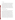PT samples will be prepared in the laboratory using ASTM Type II deionized water as the water source and will include only cyanide at various concentrations. These samples will be used specifically to help determine the analyzer accuracy, linearity, and detection limit. To determine the detection limit of the technologies, a solution with a concentration three to five times the vendor's reported detection limit will be used. Seven nonconsecutive replicate analyses of this solution will be made to obtain precision data with which to determine the method detection limit (MDL). Additionally, solutions will be prepared to assess the linearity over a broad concentration range. Four aliquots of each of these solutions will be analyzed separately to assess the precision of the technologies. The concentrations of the PT samples are listed in Tables 1 and 2. The operators will analyze the PT samples blindly in a random order to minimize any bias that could occur.

#### **2.3.3 Drinking and Surface Water Samples**

Water samples, including drinking water (well and local distribution sources) and fresh surface water will be collected from a variety of sources and used to evaluate technology performance. In general, water samples of approximately 8 L will be collected. The water samples may not be characterized in any way (for hardness, alkalinity, etc.) other than for cyanide concentration. They will be split into two subsamples (see Figure 2). One subsample will be spiked with 0.2 mg/L cyanide to provide LFM aliquots, and the other will remain unspiked. Four 400-mL aliquots to be used for analysis by the vendors' test kits  $\left(\sim10 \text{ mL per}\right)$ replicate analysis) and ISEs (~100 mL total needed) will be taken from each subsample. Also taken from each subsample will be four 500-mL aliquots that will be used for analysis by the reference method. Cyanide is not expected to be detectable in any of the drinking or surface water samples analyzed during this test. To avoid replicating nondetectable concentrations, only one unspiked aliquot of each source of water will be analyzed if cyanide is not detectable in the first aliquot analyzed by each participating technology. If there is detectable cyanide in that initial aliquot, three additional aliquots of that sample will be analyzed in addition to four LFM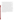aliquots. Four LFM aliquots will be prepared and analyzed for every drinking and surface water source, regardless of the concentration of the initial aliquot. Each aliquot analyzed by the technologies being verified will also be analyzed by the reference method.

Surface water samples will be collected near the shoreline by submerging the containers no more than one inch below the surface of the water. City water samples will have completed the water treatment process, but not have yet entered the water distribution system. These samples will be adjusted with sodium hydroxide (NaOH) at a pH of greater than 12, and the samples will be analyzed within 14 days. Once the samples arrive at Battelle, they will be split into unspiked background and LFM subsamples as described above and analyzed.

Residential drinking water (both well and city water) samples will be used to verify the field portability of the technologies. Residential drinking water samples will be analyzed three different ways to verify each technology's performance. Twenty-four liters of water will be collected from an outside spigot at participating residences and split into three approximately 8- L samples. The first sample will be analyzed outdoors at the residence under the current weather conditions (meteorological conditions at the time of field sampling and analysis will be documented), the second sample will be brought inside the residence and allowed to equilibrate to room temperature before testing, and the third sample will be transported to Battelle for testing in the laboratory. Each 8-L sample will be split and analyzed as described above. If any of the samples cannot be analyzed within 24 hours of sampling, they will be preserved with NaOH to a pH greater than 12 at 4EC.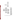

**Figure 2. Sampling through Analysis Process**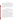#### **2.4 Reference Method**

Technology verification will involve, in part, comparing the results from each analyzer being verified to the results obtained from an appropriate reference method. The reference method chosen for comparison to both ISE and colorimetric test kits is an EPA standard method for the analysis of water. Samples will be analyzed using visible spectroscopy according to EPA Method 335.1, "Cyanides Amenable to Chlorination."<sup>2</sup> This method incorporates two determinations of total cyanide. One determination is made after the free cyanide in the sample has been chlorinated to cyanogen chloride, which degrades quickly; and the second is made without chlorination. The concentration of free cyanide is given by the difference of the two measurements of total cyanide.

#### **2.5 Sample Preparation and Storage**

QC and PT samples will be prepared from commercially available National Institute of Standards and Technology- (NIST-) traceable standard material. The standard will be dissolved and diluted to appropriate concentrations using ASTM Type II water in Class A volumetric glassware. The QC and PT samples will be prepared at the start of testing, preserved with NaOH, and stored at 4EC for a maximum of 30 days.

Surface and drinking water samples will be stored in high-density polyethylene (HDPE) containers. Because free chlorine will degrade cyanide during storage, at the time of sampling, all of the samples will be tested for free chlorine with potassium iodide (KI) starch paper and dechlorinated, as necessary. The presence of chlorine is indicated if the KI paper changes to a bright blue color. If chlorine is present, ascorbic acid will be added a few crystals at a time until there is no further color change on the KI paper. Analysis of the samples will then proceed. For the residential drinking water samples, sample analysis will be performed at the time of collection. The rest of the surface and drinking water samples and all of the samples to be analyzed by the reference method will be stored until analysis at 4EC and adjusted, as necessary, with NaOH to a pH of greater than 12. The reference analyses will be performed within 14 days of collection, or the field sampling will be repeated.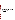#### **2.6 Sample Identification**

All test samples will be placed in uniquely identified sample containers for subsequent analysis. The sample containers will be identified by a unique identification (ID) number. A master log of the samples and ID numbers for each analyzer will be kept by Battelle. The ID number, date, person collecting, sample location, and time of collection will be recorded on a chain-of-custody form for all field samples.

#### **2.7 Sample Analysis**

#### **2.7.1 Reference Method**

The reference method will be operated according to the recommended procedures in the instruction manual, and samples will be analyzed according to EPA Method 335.1, "Cyanides Amenable to Chlorination."<sup>2</sup> Results from the reference method will be recorded electronically and compiled by the laboratory performing the analyses into a report format, including the sample ID and the analyte concentration for each sample.

#### **2.7.2 Portable Cyanide Technologies**

Each vendor will be required to provide two portable cyanide technologies for testing. Each analyzer will be subjected to the test procedure independently, and separate verification results will be reported for each unit. Those results will then be compared to assess unit-to-unit reproducibility. Each analyzer will be used to analyze the full set of samples. The sample set will include replicates of each of the PT, QC, and drinking and surface water samples. In the case of the colorimetric test kits, the complete set of samples will be analyzed twice for each technology, once by a nontechnical Battelle staff member and once by a technical staff member using the same sample aliquot. Because the ISEs are designed for a technical user, only a technical operator will perform the analyses for those technologies. For both types of technologies, the analyses will be performed according to the manufacturer's recommended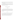procedures as described in the user's instructions or manual or during training provided to the Battelle staff. Similarly, calibration and maintenance of the technologies will be performed as specified by the manufacturer.

Results from the technologies being verified will be recorded manually on appropriate data sheets. In addition to the analytical results, the data sheets will include records of the time required for sample analysis and operator observations concerning the use of the analyzer (e.g., frequency of calibration, ease of use, maintenance).

#### **3 STATISTICAL CALCULATIONS**

#### **3.1 Accuracy**

Accuracy of the technologies being verified will be assessed relative to the results obtained from the reference analyses. Samples will be analyzed by both the reference method and the technologies being verified. The results for each set of analyses will be averaged, and the accuracy will be expressed in terms of a relative average bias *(B)* as calculated from the following equation:

$$
B = \frac{d}{\overline{C}_R} \times 100\tag{1}
$$

where  $\overline{d}$  is the average difference between the readings from the analyzer being verified and those from the reference method, and  $\overline{C_R}$  is the average of the reference measurements. Accuracy will be assessed independently for each analyzer to determine inter-unit reproducibility. Additionally, the results will be analyzed independently for the readings obtained from the two operators to determine if significant operator bias exists.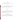#### **3.2 Precision**

The standard deviation *(S)* of the results for the replicate samples will be calculated and used as a measure of analyzer precision at each concentration.

$$
S = \left[\frac{1}{n-1} \sum_{k=1}^{n} \left(C_k - \overline{C}\right)^2\right]^{1/2} \tag{2}
$$

where *n* is the number of replicate samples,  $C_k$  is the concentration measured for the  $k<sup>th</sup>$  sample, and  $\overline{C}$  is the average concentration of the replicate samples. The analyzer precision at each concentration will be reported in terms of the relative standard deviation, e.g.,

$$
RSD = \left| \frac{S}{\overline{C}} \right| \times 100 \tag{3}
$$

#### **3.3 Linearity**

Linearity will be assessed by linear regression with the analyte concentration measured by the reference method as independent variable, and the reading from the analyzer being verified as dependent variable. Linearity will be expressed in terms of the slope, intercept, and coefficient of determination  $(r^2)$ .

#### **3.4 Method Detection Limit**

The MDL for each analyzer will be assessed from the seven replicate analyses of a fortified sample with an analyte concentration of three to five times the vendor's estimated detection limit (see Tables 1 and 2). The MDL will be calculated from the following equation:

$$
MDL = t \times S \tag{4}
$$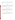where *t* is the Student's value for a 99% confidence level, and *S* is the standard deviation of the replicate samples. The MDL values for the two units of each technology will be reported as separate results.

#### **3.5 Operator Bias**

To assess operator bias for each technology, the results obtained from each operator will be compiled independently and subsequently compared. The existence of operator bias will be assessed by comparing the linear regression results of the nontechnical operator plotted against the results of the technical operator.

#### **3.6 Inter-Unit Reproducibility**

The results obtained from two identical units of each analyzer will be compiled independently for each analyzer and for each operator and compared to assess inter-unit reproducibility. The results will be interpreted by comparing the linear regression of the two units, plotted against each other.

#### **3.7 Matrix Interferences**

The potential effect of the sample matrix on the analyzer performance will be evaluated qualitatively by comparing the accuracy and precision results for the natural and cyanidefortified surface and drinking water samples to those for the PT samples.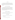#### **3.8 Portability**

The results obtained from the measurements made on drinking water samples in the laboratory and field settings will be compiled independently for each analyzer and for each operator and compared to assess the accuracy of the measurements under the different analysis conditions, including the pertinent meteorological conditions such as ambient temperature and water temperature.

#### **3.9 Lethal or Near-Lethal Dose Response**

Extremely high-concentration water samples that are near-lethal or lethal if consumed will be analyzed. The operators and Verification Test Coordinator will make qualitative observations of their operation while analyzing such samples. Observations of unusual operational characteristics (rate of color change, unusually intense color, unique digital readout, etc.) will be documented and reported. If applicable, technologies will be assessed using the relative average bias, described in Section 3.1.

#### **4 MATERIALS AND EQUIPMENT**

In general, the verification test relies on the materials and equipment provided by the vendors. Battelle will provide the following equipment and materials.

#### **4.1 Laboratory Supplies**

The following laboratory supplies are needed to prepare the PT and QC samples:

- ASTM Type II water
- 4-L, 1-L, 250-mL, and 100-mL Class A volumetric flasks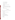- 10-mL Class A volumetric pipets
- 10-mL and 50-mL disposable pipets
- 0.5-mL and 1.0-mL micropipets
- micropipet tips
- NIST-traceable reference standard for target analyte
- HDPE containers
- NaOH for preservation and pH adjustment where applicable
- Hydrogen chloride (HCl) for pH adjustment where applicable
- pH meter
- Personal protective equipment.

#### **4.2 Field Supplies**

Battelle will provide the following supplies for collecting field samples:

- ASTM Type II water
- 125-mL, 500-mL, 1-L, and 8-L HDPE containers
- 1-mL micropipet
- 1-mL micropipet tips
- 10-mL and 50-mL disposable pipets
- HDPE volumetric flasks of various volumes
- Coolers and blue ice packs for sample storage
- Thermometer
- Lead carbonate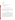- KI starch paper
- Lead acetate paper
- pH meter
- Ascorbic acid
- NaOH for preservation and pH adjustment where applicable
- HCl for pH adjustment where applicable
- Personal protective equipment.

#### **5 QUALITY ASSURANCE /QUALITY CONTROL**

The QA/QC activities associated with the verification test will focus primarily on reference analysis, sample preparation and handling, and data recording and analysis. An independent audit covering each of these areas will be performed by the Battelle Quality Manager to ensure the quality of the verification test.

#### **5.1 QC of Reference Method**

Analysis of QC samples throughout the verification test will be used to document the performance of the reference method. Prepared QC samples will include QCSs, RB samples, and LFM samples. The reference technology will be calibrated according to the procedures described in the reference method. In addition, the accuracy of the reference method will be tested before the beginning and after the conclusion of each testing day as well as after every tenth sample with an appropriate QCS. The reference method will be required to measure the concentrations of the QCS to within 25% of the known concentration. If the difference is larger than 25%, the data collected since the most recent QCS will be flagged; and proper maintenance will be performed to regain accurate cyanide measurement.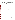RB samples will be analyzed to ensure that no sources of contamination are present. If the analysis of an RB sample indicates a concentration above the MDL for the reference method, contamination will be suspected. The RB samples will be prepared from ASTM Type II deionized water and be handled and analyzed identically to other prepared samples, including the addition of all reagents. These samples will be used to help ensure that no sources of contamination are introduced in the sample handling and analysis procedures. Any contamination source(s) will be corrected, and proper blank readings will be achieved.

 The LFM samples will be prepared as aliquots of drinking and surface water samples spiked with potassium cyanide to increase the analyte concentration by 0.2 mg/L. In the case of the drinking water samples to be analyzed in the field, the spike solution used to prepare the LFM will be prepared in the laboratory and brought to the field site. For the rest of the samples, the LFM will be prepared similarly, but within a Battelle laboratory, not in a field setting. Since no cyanide is expected to be detectable in the drinking and surface water samples, four LFM samples will be analyzed for each source of water. These samples will be used to help determine whether matrix interferences have an influence on the analytical results of the reference method. The percent recovery of the spiked solution will be calculated from the following equation:

$$
R = \frac{C_s - C}{s} \times 100\tag{5}
$$

where  $C_s$  is the analyzed concentration of the spiked sample,  $C$  is the analyzed concentration of the unspiked sample, and *s* is the concentration equivalent of the cyanide spike. If the percent recovery of an LFM falls outside the range from 75 to 125%, a matrix interference will be suspected.

#### **5.2 Audits**

#### **5.2.1 Performance Evaluation Audit**

A PE audit will be conducted to assess the quality of the reference measurements made in the verification test. A PE audit involves challenging the analyzer used for the reference method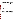with standards that are independent of those used to calibrate the technologies being tested. For the PE audit, an independent standard will be obtained from a source other than the one that supplied the QCS. QC and PE standards will be measured using the reference method, and the results will be compared once during the verification test. Agreement of the standards within 25% is required for the measurements to be considered acceptable. Failure to achieve this agreement will trigger a repeat of the PE comparison. Failure in the second comparison requires obtaining another set of standards and repeating the performance audit.

A second type of PE will involve selecting the reference laboratory. Battelle will submit various solutions with known concentrations of cyanide to prospective commercial laboratories to test their ability to accurately measure cyanide. After the reference laboratories report the cyanide concentrations in those solutions to within 25% of the known concentration, the Battelle Quality Manager will conduct an audit of its quality documents. If there are areas of concern with the quality documents, the commercial laboratories will be notified, and if they are willing to adapt Battelle's procedures, will be considered for use.

#### **5.2.2 Technical Systems Audit**

The Battelle Quality Manager will conduct a TSA at least once during the course of the verification test. The purpose of this audit is to ensure that the verification test is performed in accordance with this protocol and the AMS Center QMP.<sup>1</sup> In this audit, the Battelle Quality Manager will review the reference standards and methods used, compare actual test procedures to those specified in this protocol, and review data acquisition and handling procedures. An independent TSA also may be performed by EPA Quality Management staff during the verification test, at EPA's discretion.

#### **5.2.3 Data Quality Audit**

At least 10% percent of the data generated during the verification test will be audited. Battelle's Quality Manager will trace the data from the initial acquisition, through reduction and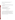statistical analysis, to final reporting, to ensure the integrity of the reported results. All calculations performed on the data undergoing the audit will be checked.

#### **5.2.4 Assessment Reports**

Each assessment and audit will be documented in accordance with Section 3.3.4 of the QMP for the AMS Center.<sup>1</sup> The results of the TSA will be sent to the EPA. Assessment reports will include the following:

- Identification of any adverse findings or potential problems
- Response to adverse findings or potential problems
- Recommendations for resolving problems
- Confirmation that solutions have been implemented and are effective
- Citation of any noteworthy practices that may be of use to others.

#### **5.3 Corrective Action**

The Battelle or EPA Quality Manager, during the course of any assessment or audit, will identify to the technical staff performing experimental activities any immediate corrective action that should be taken. If serious quality problems exist, the Battelle Quality Manager is authorized to stop work. Once the assessment report has been prepared, the Verification Test Coordinator will ensure that a response is provided for each adverse finding or potential problem and implement any necessary follow-up corrective action. The Battelle Quality Manager will ensure that follow-up corrective action has been taken.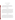#### **6 DATA ANALYSIS AND REPORTING**

#### **6.1 Data Acquisition**

A variety of verification test data will be acquired and recorded electronically or manually by Battelle staff. Operation and maintenance data, sampling procedures, and test results will be documented on data sheets or in laboratory record books. Results from the reference method will be compiled in electronic format.

#### **6.2 Data Review**

Records generated during the verification test by any Battelle staff will be reviewed by a more senior Battelle staff member within two weeks of generation, before these records are used to calculate, evaluate, or report verification results. Table 3 summarizes the types of data to be recorded. These records may include laboratory record books or reference method analytical results. Battelle, contractor, and/or vendor staff will be consulted as needed to clarify any issues about the data records. The review will be documented by the person performing it by adding his/her initials and date to a hard copy of the record being reviewed. This hard copy will then be returned to the Battelle staff member who generated or who will be storing the record.

#### **6.3 Reporting**

The data obtained in the verification test will be compiled separately for each vendor's analyzer, and the statistical calculations described in Section 3 will be applied to each data set without reference to any other vendor's results. At no time will data from different vendor's technologies be compared or ranked. Following completion of the statistical calculations, a draft verification report will be prepared for each vendor's technology, describing the verification test procedures and documenting the performance observed. The draft verification reports will be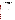submitted to the respective vendors for review and comment. Battelle will consider the comments provided by each vendor when revising the verification reports, but does not guarantee that revisions made to the final verification reports will reflect those comments. After vendor review, the revised reports will be submitted to EPA and AMS Center stakeholders for peer review. The reports will be revised again to address the peer review comments and submitted for final EPA approval.

In parallel with preparation of the verification reports will be preparation of the verification statement for each technology. The verification statement is a two- to three-page summary of the technology, the test procedures, and the test results. Each draft verification statement will be submitted to the respective vendor for review, and then will follow the same revision and EPA review process as the reports. Upon approval by EPA, each verification statement will be signed by a senior manager of Battelle and by an EPA laboratory director. Battelle will reserve the right to post the final verification reports and statements on the ETV Web site (http://www.epa.gov/etv). Original signed verification statements will be provided to the respective vendors for use in marketing their products.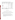| Data to be<br><b>Recorded</b>                                                                    | <b>Responsible</b><br>Party | <b>Where Recorded</b>                                                                     | <b>How Often Recorded</b>                                       | Disposition of Data <sup>(a)</sup>                                                                    |
|--------------------------------------------------------------------------------------------------|-----------------------------|-------------------------------------------------------------------------------------------|-----------------------------------------------------------------|-------------------------------------------------------------------------------------------------------|
| Dates, times of<br>test events                                                                   | Battelle                    | Laboratory record books                                                                   | Start/end of test, and at<br>each change of a test<br>parameter | Used to organize/check test<br>results; manually<br>incorporated in data<br>spreadsheets as necessary |
| Test parameters<br>(meteorological)<br>conditions, analyte<br>concentrations.<br>location, etc.) | <b>Battelle</b>             | Laboratory record books                                                                   | When set or changed, or<br>as needed to document<br>stability   | Used to organize/check test<br>results, manually<br>incorporated in data<br>spreadsheets as necessary |
| Reference method<br>analytical data                                                              | <b>Battelle</b>             | Laboratory record books                                                                   | At least at the time of<br>sampling                             | Used to organize/check test<br>results; manually<br>incorporated in data<br>spreadsheets as necessary |
| Reference method<br>sample analysis,<br>chain of custody,<br>and results                         | Contracted<br>laboratory    | Laboratory record<br>books, data sheets, or<br>data acquisition system,<br>as appropriate | Throughout sample<br>handling and analysis<br>process           | Transferred to<br>spreadsheets/agreed upon<br>report                                                  |

#### **Table 3. Summary of Data Recording Process for the Verification Test**

(a) All activities subsequent to data recording are carried out by Battelle.

#### **7 HEALTH AND SAFETY**

#### **7.1 Laboratory Standard/Performance Test Sample Preparation**

All solid and highly concentrated aqueous solutions of potassium cyanide and NaOH will be handled inside a laboratory hood with the hood sash set to the lowest height that allows for safe manipulation of materials. The following guidelines should be adhered to:

- Personal protective equipment will include safety glasses with side shields, a laboratory coat, and nitrile lab gloves. Gloves will be immediately changed if they become contaminated. (The same gloves can be used for NaOH.)
- All contaminated waste will be handled as hazardous waste and sent out through Battelle Waste Operations.